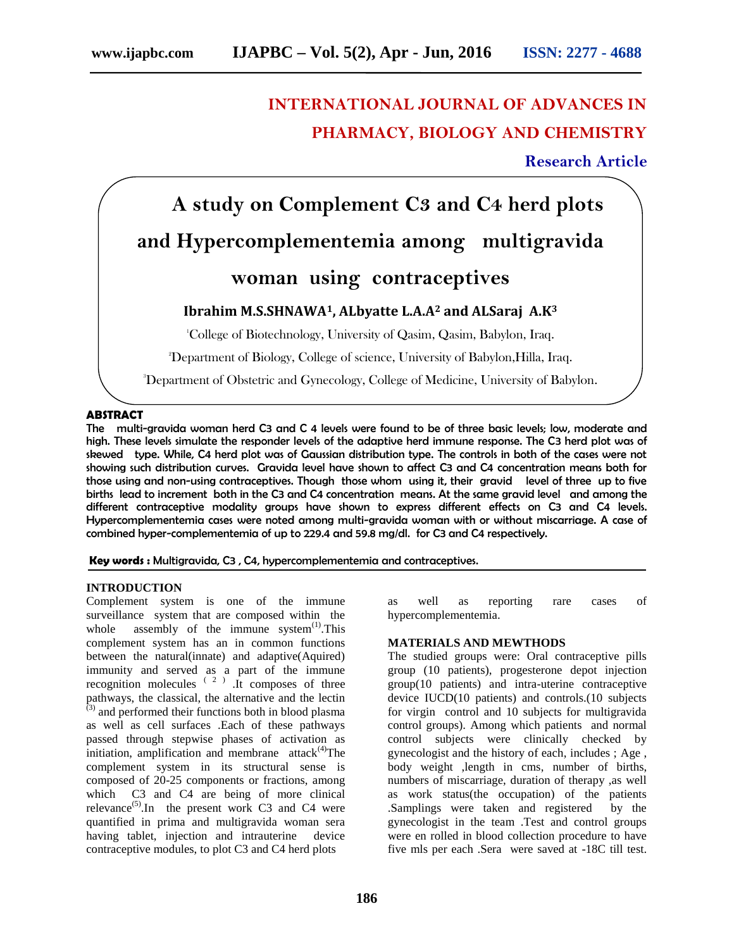# **INTERNATIONAL JOURNAL OF ADVANCES IN PHARMACY, BIOLOGY AND CHEMISTRY**

# **Research Article**

# **A study on Complement C3 and C4 herd plots and Hypercomplementemia among multigravida woman using contraceptives**

# **Ibrahim M.S.SHNAWA1, ALbyatte L.A.A<sup>2</sup> and ALSaraj A.K<sup>3</sup>**

<sup>1</sup>College of Biotechnology, University of Qasim, Qasim, Babylon, Iraq.

<sup>2</sup>Department of Biology, College of science, University of Babylon,Hilla, Iraq.

<sup>3</sup>Department of Obstetric and Gynecology, College of Medicine, University of Babylon.

# **ABSTRACT**

The multi-gravida woman herd C3 and C 4 levels were found to be of three basic levels; low, moderate and high. These levels simulate the responder levels of the adaptive herd immune response. The C3 herd plot was of skewed type. While, C4 herd plot was of Gaussian distribution type. The controls in both of the cases were not showing such distribution curves. Gravida level have shown to affect C3 and C4 concentration means both for those using and non-using contraceptives. Though those whom using it, their gravid level of three up to five births lead to increment both in the C3 and C4 concentration means. At the same gravid level and among the different contraceptive modality groups have shown to express different effects on C3 and C4 levels. Hypercomplementemia cases were noted among multi-gravida woman with or without miscarriage. A case of combined hyper-complementemia of up to 229.4 and 59.8 mg/dl. for C3 and C4 respectively.

**Key words :** Multigravida, C3 , C4, hypercomplementemia and contraceptives.

### **INTRODUCTION**

Complement system is one of the immune surveillance system that are composed within the whole assembly of the immune system $<sup>(1)</sup>$ . This</sup> complement system has an in common functions between the natural(innate) and adaptive(Aquired) immunity and served as a part of the immune recognition molecules  $(2)$ . It composes of three pathways, the classical, the alternative and the lectin  $(3)$  and performed their functions both in blood plasma as well as cell surfaces .Each of these pathways passed through stepwise phases of activation as initiation, amplification and membrane  $attack<sup>(4)</sup>$ The complement system in its structural sense is composed of 20-25 components or fractions, among which C3 and C4 are being of more clinical relevance<sup>(5)</sup>.In the present work C3 and C4 were quantified in prima and multigravida woman sera having tablet, injection and intrauterine device contraceptive modules, to plot C3 and C4 herd plots

as well as reporting rare cases of hypercomplementemia.

# **MATERIALS AND MEWTHODS**

The studied groups were: Oral contraceptive pills group (10 patients), progesterone depot injection group(10 patients) and intra-uterine contraceptive device IUCD(10 patients) and controls.(10 subjects for virgin control and 10 subjects for multigravida control groups). Among which patients and normal control subjects were clinically checked by gynecologist and the history of each, includes ; Age , body weight ,length in cms, number of births, numbers of miscarriage, duration of therapy ,as well as work status(the occupation) of the patients .Samplings were taken and registered by the gynecologist in the team .Test and control groups were en rolled in blood collection procedure to have five mls per each .Sera were saved at -18C till test.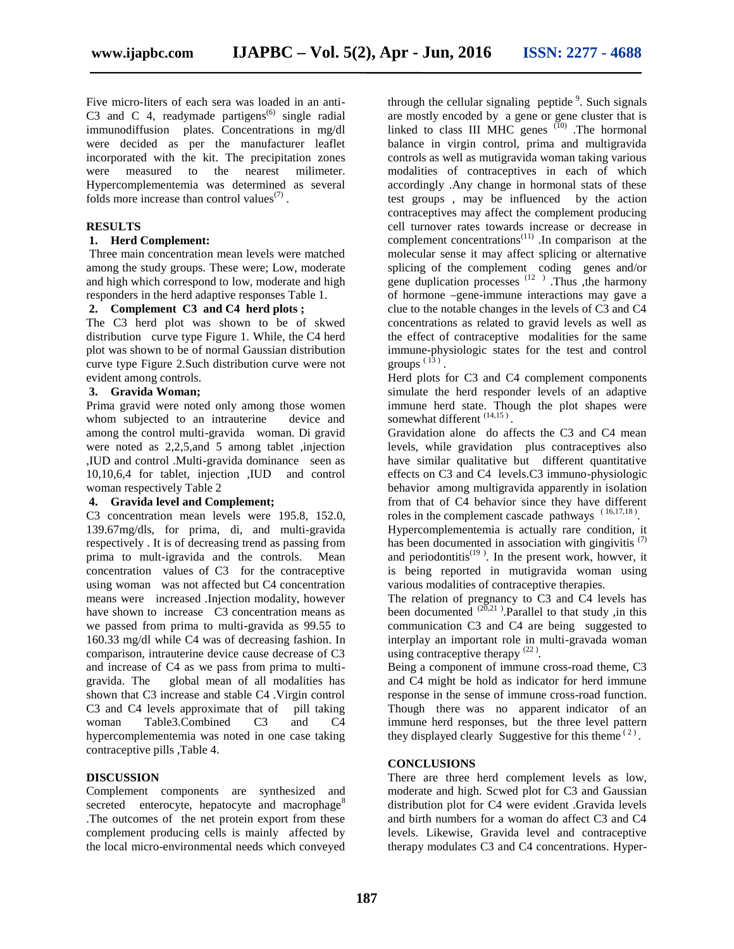Five micro-liters of each sera was loaded in an anti- C3 and C 4, readymade partigens<sup> $(6)$ </sup> single radial immunodiffusion plates. Concentrations in mg/dl were decided as per the manufacturer leaflet incorporated with the kit. The precipitation zones were measured to the nearest milimeter. Hypercomplementemia was determined as several folds more increase than control values $(7)$ .

# **RESULTS**

# **1. Herd Complement:**

Three main concentration mean levels were matched among the study groups. These were; Low, moderate and high which correspond to low, moderate and high responders in the herd adaptive responses Table 1.

# **2. Complement C3 and C4 herd plots ;**

The C3 herd plot was shown to be of skwed distribution curve type Figure 1. While, the C4 herd plot was shown to be of normal Gaussian distribution curve type Figure 2.Such distribution curve were not evident among controls.

# **3. Gravida Woman;**

Prima gravid were noted only among those women whom subjected to an intrauterine device and among the control multi-gravida woman. Di gravid were noted as 2,2,5,and 5 among tablet ,injection ,IUD and control .Multi-gravida dominance seen as 10,10,6,4 for tablet, injection ,IUD and control woman respectively Table 2

### **4. Gravida level and Complement;**

C3 concentration mean levels were 195.8, 152.0, 139.67mg/dls, for prima, di, and multi-gravida respectively . It is of decreasing trend as passing from prima to mult-igravida and the controls. Mean concentration values of C3 for the contraceptive using woman was not affected but C4 concentration means were increased .Injection modality, however have shown to increase C3 concentration means as we passed from prima to multi-gravida as 99.55 to 160.33 mg/dl while C4 was of decreasing fashion. In comparison, intrauterine device cause decrease of C3 and increase of C4 as we pass from prima to multi gravida. The global mean of all modalities has shown that C3 increase and stable C4 .Virgin control C3 and C4 levels approximate that of pill taking woman Table3.Combined C3 and C4 hypercomplementemia was noted in one case taking contraceptive pills ,Table 4.

# **DISCUSSION**

Complement components are synthesized and secreted enterocyte, hepatocyte and macrophage $8$ .The outcomes of the net protein export from these complement producing cells is mainly affected by the local micro-environmental needs which conveyed

through the cellular signaling peptide <sup>9</sup>. Such signals are mostly encoded by a gene or gene cluster that is linked to class III MHC genes  $(10)$ . The hormonal balance in virgin control, prima and multigravida controls as well as mutigravida woman taking various modalities of contraceptives in each of which accordingly .Any change in hormonal stats of these test groups , may be influenced by the action contraceptives may affect the complement producing cell turnover rates towards increase or decrease in complement concentrations<sup>(11)</sup>. In comparison at the molecular sense it may affect splicing or alternative splicing of the complement coding genes and/or gene duplication processes  $(12)$ . Thus , the harmony of hormone –gene-immune interactions may gave a clue to the notable changes in the levels of C3 and C4 concentrations as related to gravid levels as well as the effect of contraceptive modalities for the same immune-physiologic states for the test and control groups  $\binom{13}{ }$ .

Herd plots for C3 and C4 complement components simulate the herd responder levels of an adaptive immune herd state. Though the plot shapes were somewhat different  $(14,15)$ .

Gravidation alone do affects the C3 and C4 mean levels, while gravidation plus contraceptives also have similar qualitative but different quantitative effects on C3 and C4 levels.C3 immuno-physiologic behavior among multigravida apparently in isolation from that of C4 behavior since they have different roles in the complement cascade pathways  $(16,17,18)$ .

Hypercomplementemia is actually rare condition, it has been documented in association with gingivitis  $(7)$ and periodontitis $(19)$ . In the present work, howver, it is being reported in mutigravida woman using various modalities of contraceptive therapies.

The relation of pregnancy to C3 and C4 levels has been documented  $^{(20,21)}$ . Parallel to that study ,in this communication C3 and C4 are being suggested to interplay an important role in multi-gravada woman using contraceptive therapy  $(22)$ .

Being a component of immune cross-road theme, C3 and C4 might be hold as indicator for herd immune response in the sense of immune cross-road function. Though there was no apparent indicator of an immune herd responses, but the three level pattern they displayed clearly Suggestive for this theme  $(2)$ .

# **CONCLUSIONS**

There are three herd complement levels as low, moderate and high. Scwed plot for C3 and Gaussian distribution plot for C4 were evident .Gravida levels and birth numbers for a woman do affect C3 and C4 levels. Likewise, Gravida level and contraceptive therapy modulates C3 and C4 concentrations. Hyper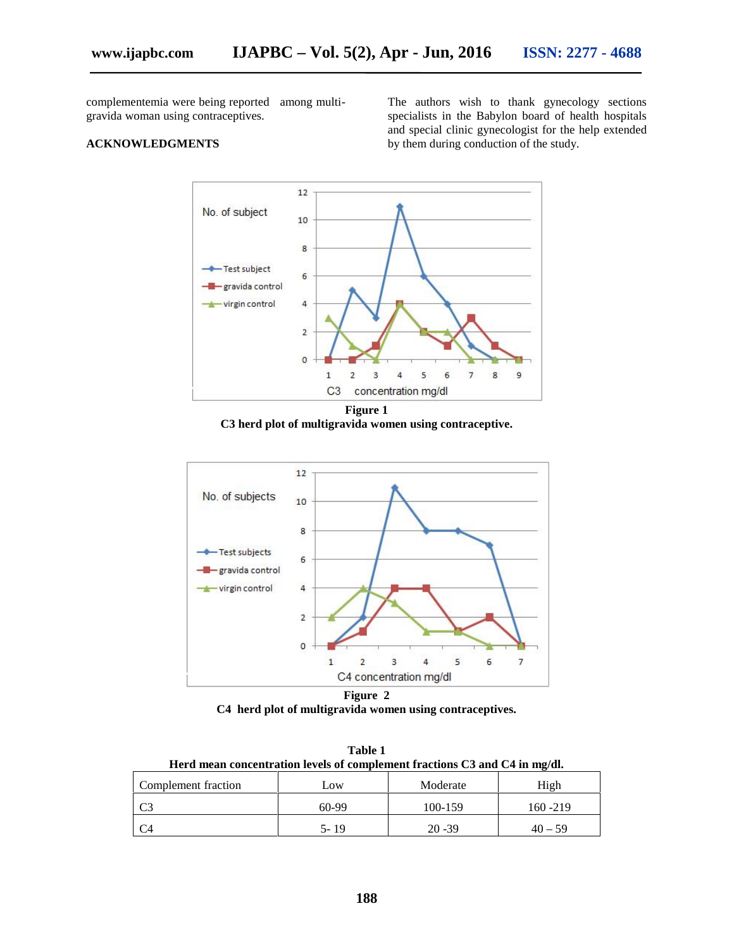complementemia were being reported among multi gravida woman using contraceptives.

# **ACKNOWLEDGMENTS**

The authors wish to thank gynecology sections specialists in the Babylon board of health hospitals and special clinic gynecologist for the help extended by them during conduction of the study.



**Figure 1 C3 herd plot of multigravida women using contraceptive.**



**Figure 2 C4 herd plot of multigravida women using contraceptives.**

**Table 1 Herd mean concentration levels of complement fractions C3 and C4 in mg/dl.**

| Complement fraction | Low     | Moderate  | High        |
|---------------------|---------|-----------|-------------|
| ี ~?<br>ت           | $60-99$ | 100-159   | $160 - 219$ |
|                     | 5-19    | $20 - 39$ | $40 - 59$   |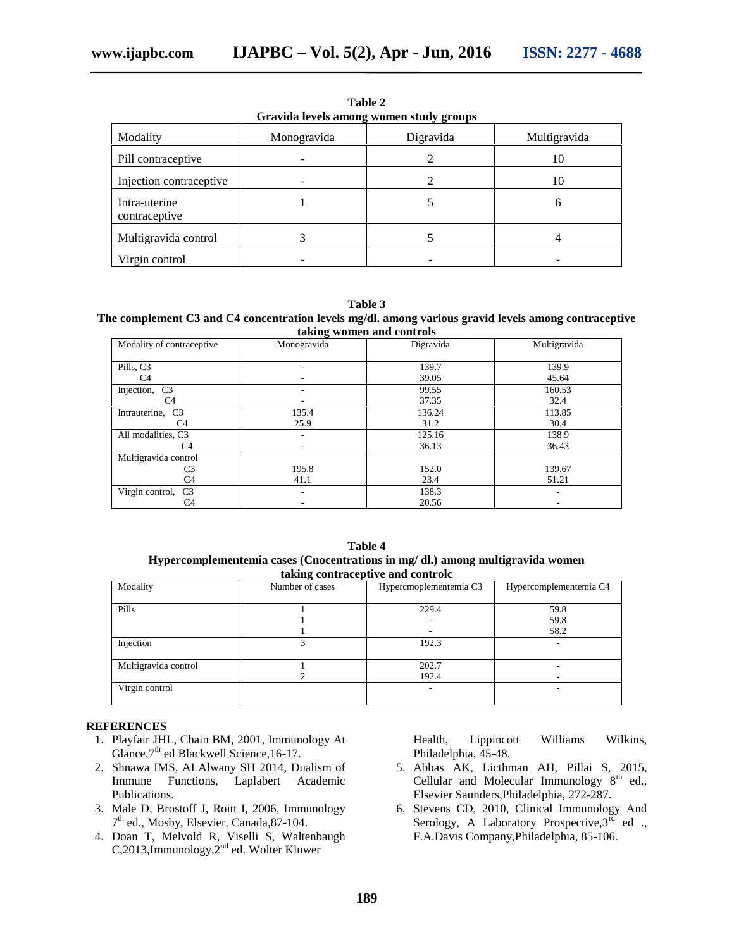| Gravida levels among women study groups |             |           |              |  |
|-----------------------------------------|-------------|-----------|--------------|--|
| Modality                                | Monogravida | Digravida | Multigravida |  |
| Pill contraceptive                      |             | 2         | 10           |  |
| Injection contraceptive                 |             |           | 10           |  |
| Intra-uterine<br>contraceptive          |             |           | h            |  |
| Multigravida control                    |             |           |              |  |
| Virgin control                          |             |           |              |  |

**Table 2**

**Table 3**

#### **The complement C3 and C4 concentration levels mg/dl. among various gravid levels among contraceptive taking women and controls**

| Modality of contraceptive       | o<br>Monogravida | Digravida | Multigravida |
|---------------------------------|------------------|-----------|--------------|
|                                 |                  |           |              |
| Pills, C <sub>3</sub>           |                  | 139.7     | 139.9        |
| C <sub>4</sub>                  |                  | 39.05     | 45.64        |
| Injection,<br>C <sub>3</sub>    |                  | 99.55     | 160.53       |
| C4                              |                  | 37.35     | 32.4         |
| Intrauterine,<br>C <sub>3</sub> | 135.4            | 136.24    | 113.85       |
| C <sub>4</sub>                  | 25.9             | 31.2      | 30.4         |
| All modalities, C3              |                  | 125.16    | 138.9        |
| C4                              |                  | 36.13     | 36.43        |
| Multigravida control            |                  |           |              |
| C <sub>3</sub>                  | 195.8            | 152.0     | 139.67       |
| C <sub>4</sub>                  | 41.1             | 23.4      | 51.21        |
| Virgin control, C3              |                  | 138.3     |              |
| C4                              |                  | 20.56     |              |

**Table 4 Hypercomplementemia cases (Cnocentrations in mg/ dl.) among multigravida women taking contraceptive and controlc**

| Modality             | Number of cases | Hypercmoplementemia C3 | Hypercomplementemia C4 |
|----------------------|-----------------|------------------------|------------------------|
| Pills                |                 | 229.4                  | 59.8                   |
|                      |                 |                        | 59.8                   |
|                      |                 |                        | 58.2                   |
| Injection            |                 | 192.3                  |                        |
| Multigravida control |                 | 202.7                  | -                      |
|                      |                 | 192.4                  |                        |
| Virgin control       |                 |                        | ٠                      |

# **REFERENCES**

- 1. Playfair JHL, Chain BM, 2001, Immunology At Glance, 7<sup>th</sup> ed Blackwell Science, 16-17.
- 2. Shnawa IMS, ALAlwany SH 2014, Dualism of Immune Functions, Laplabert Academic Publications.
- 3. Male D, Brostoff J, Roitt I, 2006, Immunology 7 th ed., Mosby, Elsevier, Canada,87-104.
- 4. Doan T, Melvold R, Viselli S, Waltenbaugh C,2013,Immunology, $2^{nd}$  ed. Wolter Kluwer

Health, Lippincott Williams Wilkins, Philadelphia, 45-48.

- 5. Abbas AK, Licthman AH, Pillai S, 2015, Cellular and Molecular Immunology  $8<sup>th</sup>$  ed., Elsevier Saunders,Philadelphia, 272-287.
- 6. Stevens CD, 2010, Clinical Immunology And Serology, A Laboratory Prospective,  $3^{\overline{\text{rd}}}$  ed ., F.A.Davis Company,Philadelphia, 85-106.